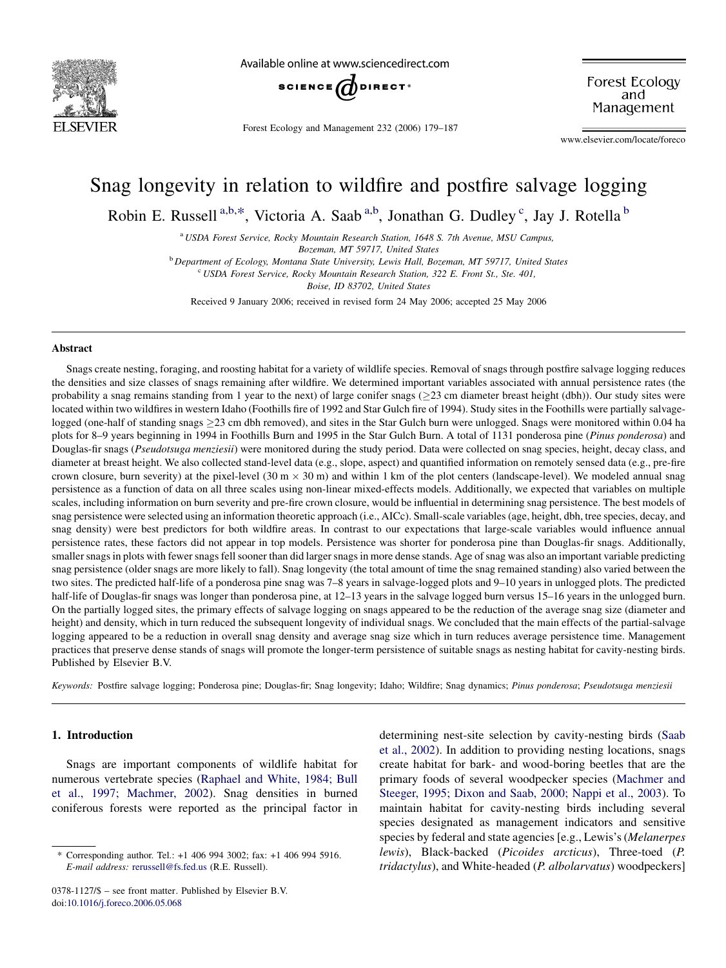

Available online at www.sciencedirect.com



Forest Ecology and Management 232 (2006) 179–187

Forest Ecology and Management

www.elsevier.com/locate/foreco

# Snag longevity in relation to wildfire and postfire salvage logging

Robin E. Russell<sup>a,b,\*</sup>, Victoria A. Saab<sup>a,b</sup>, Jonathan G. Dudley<sup>c</sup>, Jay J. Rotella<sup>b</sup>

<sup>a</sup> USDA Forest Service, Rocky Mountain Research Station, 1648 S. 7th Avenue, MSU Campus,

Bozeman, MT 59717, United States

<sup>b</sup> Department of Ecology, Montana State University, Lewis Hall, Bozeman, MT 59717, United States

<sup>c</sup> USDA Forest Service, Rocky Mountain Research Station, 322 E. Front St., Ste. 401,

Boise, ID 83702, United States

Received 9 January 2006; received in revised form 24 May 2006; accepted 25 May 2006

## Abstract

Snags create nesting, foraging, and roosting habitat for a variety of wildlife species. Removal of snags through postfire salvage logging reduces the densities and size classes of snags remaining after wildfire. We determined important variables associated with annual persistence rates (the probability a snag remains standing from 1 year to the next) of large conifer snags ( $\geq$ 23 cm diameter breast height (dbh)). Our study sites were located within two wildfires in western Idaho (Foothills fire of 1992 and Star Gulch fire of 1994). Study sites in the Foothills were partially salvagelogged (one-half of standing snags 23 cm dbh removed), and sites in the Star Gulch burn were unlogged. Snags were monitored within 0.04 ha plots for 8–9 years beginning in 1994 in Foothills Burn and 1995 in the Star Gulch Burn. A total of 1131 ponderosa pine (Pinus ponderosa) and Douglas-fir snags (Pseudotsuga menziesii) were monitored during the study period. Data were collected on snag species, height, decay class, and diameter at breast height. We also collected stand-level data (e.g., slope, aspect) and quantified information on remotely sensed data (e.g., pre-fire crown closure, burn severity) at the pixel-level  $(30 \text{ m} \times 30 \text{ m})$  and within 1 km of the plot centers (landscape-level). We modeled annual snag persistence as a function of data on all three scales using non-linear mixed-effects models. Additionally, we expected that variables on multiple scales, including information on burn severity and pre-fire crown closure, would be influential in determining snag persistence. The best models of snag persistence were selected using an information theoretic approach (i.e., AICc). Small-scale variables (age, height, dbh, tree species, decay, and snag density) were best predictors for both wildfire areas. In contrast to our expectations that large-scale variables would influence annual persistence rates, these factors did not appear in top models. Persistence was shorter for ponderosa pine than Douglas-fir snags. Additionally, smaller snags in plots with fewer snags fell sooner than did larger snags in more dense stands. Age of snag was also an important variable predicting snag persistence (older snags are more likely to fall). Snag longevity (the total amount of time the snag remained standing) also varied between the two sites. The predicted half-life of a ponderosa pine snag was 7–8 years in salvage-logged plots and 9–10 years in unlogged plots. The predicted half-life of Douglas-fir snags was longer than ponderosa pine, at 12–13 years in the salvage logged burn versus 15–16 years in the unlogged burn. On the partially logged sites, the primary effects of salvage logging on snags appeared to be the reduction of the average snag size (diameter and height) and density, which in turn reduced the subsequent longevity of individual snags. We concluded that the main effects of the partial-salvage logging appeared to be a reduction in overall snag density and average snag size which in turn reduces average persistence time. Management practices that preserve dense stands of snags will promote the longer-term persistence of suitable snags as nesting habitat for cavity-nesting birds. Published by Elsevier B.V.

Keywords: Postfire salvage logging; Ponderosa pine; Douglas-fir; Snag longevity; Idaho; Wildfire; Snag dynamics; Pinus ponderosa; Pseudotsuga menziesii

#### 1. Introduction

Snags are important components of wildlife habitat for numerous vertebrate species ([Raphael and White, 1984; Bull](#page-8-0) [et al., 1997; Machmer, 2002](#page-8-0)). Snag densities in burned coniferous forests were reported as the principal factor in determining nest-site selection by cavity-nesting birds [\(Saab](#page-8-0) [et al., 2002](#page-8-0)). In addition to providing nesting locations, snags create habitat for bark- and wood-boring beetles that are the primary foods of several woodpecker species ([Machmer and](#page-8-0) [Steeger, 1995; Dixon and Saab, 2000; Nappi et al., 2003](#page-8-0)). To maintain habitat for cavity-nesting birds including several species designated as management indicators and sensitive species by federal and state agencies [e.g., Lewis's (Melanerpes lewis), Black-backed (Picoides arcticus), Three-toed (P. tridactylus), and White-headed (P. albolarvatus) woodpeckers]

Corresponding author. Tel.: +1 406 994 3002; fax: +1 406 994 5916. E-mail address: [rerussell@fs.fed.us](mailto:rerussell@fs.fed.us) (R.E. Russell).

<sup>0378-1127/\$ –</sup> see front matter. Published by Elsevier B.V. doi:[10.1016/j.foreco.2006.05.068](http://dx.doi.org/10.1016/j.foreco.2006.05.068)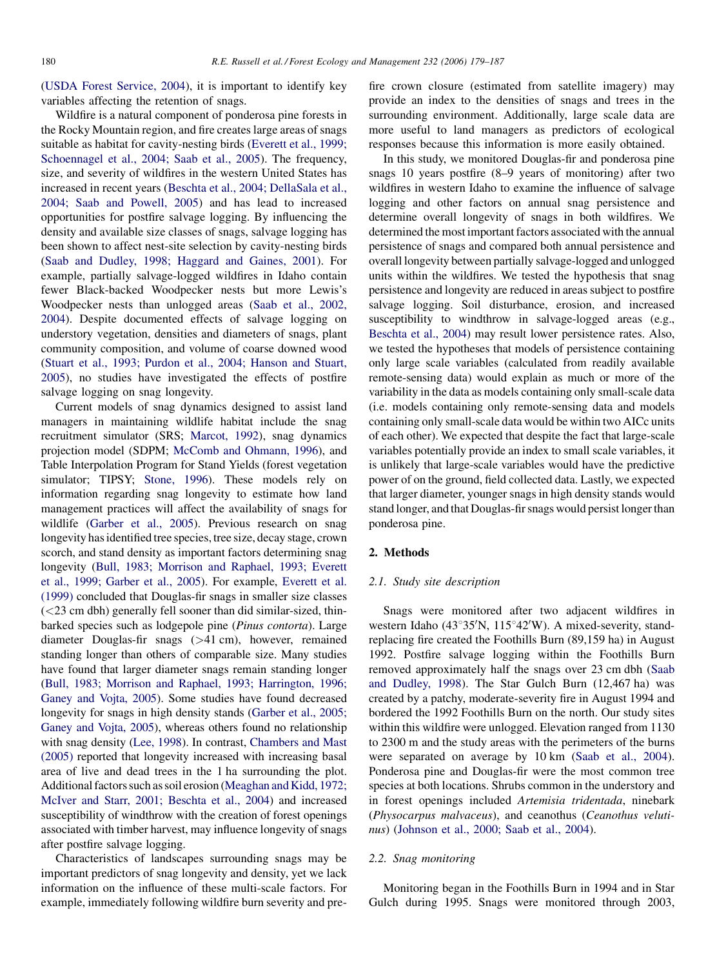([USDA Forest Service, 2004](#page-8-0)), it is important to identify key variables affecting the retention of snags.

Wildfire is a natural component of ponderosa pine forests in the Rocky Mountain region, and fire creates large areas of snags suitable as habitat for cavity-nesting birds [\(Everett et al., 1999;](#page-7-0) [Schoennagel et al., 2004; Saab et al., 2005\)](#page-7-0). The frequency, size, and severity of wildfires in the western United States has increased in recent years ([Beschta et al., 2004; DellaSala et al.,](#page-7-0) [2004; Saab and Powell, 2005\)](#page-7-0) and has lead to increased opportunities for postfire salvage logging. By influencing the density and available size classes of snags, salvage logging has been shown to affect nest-site selection by cavity-nesting birds ([Saab and Dudley, 1998; Haggard and Gaines, 2001](#page-8-0)). For example, partially salvage-logged wildfires in Idaho contain fewer Black-backed Woodpecker nests but more Lewis's Woodpecker nests than unlogged areas ([Saab et al., 2002,](#page-8-0) [2004\)](#page-8-0). Despite documented effects of salvage logging on understory vegetation, densities and diameters of snags, plant community composition, and volume of coarse downed wood ([Stuart et al., 1993; Purdon et al., 2004; Hanson and Stuart,](#page-8-0) [2005\)](#page-8-0), no studies have investigated the effects of postfire salvage logging on snag longevity.

Current models of snag dynamics designed to assist land managers in maintaining wildlife habitat include the snag recruitment simulator (SRS; [Marcot, 1992](#page-8-0)), snag dynamics projection model (SDPM; [McComb and Ohmann, 1996](#page-8-0)), and Table Interpolation Program for Stand Yields (forest vegetation simulator; TIPSY; [Stone, 1996\)](#page-8-0). These models rely on information regarding snag longevity to estimate how land management practices will affect the availability of snags for wildlife ([Garber et al., 2005\)](#page-7-0). Previous research on snag longevity has identified tree species, tree size, decay stage, crown scorch, and stand density as important factors determining snag longevity ([Bull, 1983; Morrison and Raphael, 1993; Everett](#page-7-0) [et al., 1999; Garber et al., 2005\)](#page-7-0). For example, [Everett et al.](#page-7-0) [\(1999\)](#page-7-0) concluded that Douglas-fir snags in smaller size classes (<23 cm dbh) generally fell sooner than did similar-sized, thinbarked species such as lodgepole pine (Pinus contorta). Large diameter Douglas-fir snags (>41 cm), however, remained standing longer than others of comparable size. Many studies have found that larger diameter snags remain standing longer ([Bull, 1983; Morrison and Raphael, 1993; Harrington, 1996;](#page-7-0) [Ganey and Vojta, 2005\)](#page-7-0). Some studies have found decreased longevity for snags in high density stands ([Garber et al., 2005;](#page-7-0) [Ganey and Vojta, 2005\)](#page-7-0), whereas others found no relationship with snag density [\(Lee, 1998](#page-8-0)). In contrast, [Chambers and Mast](#page-7-0) [\(2005\)](#page-7-0) reported that longevity increased with increasing basal area of live and dead trees in the 1 ha surrounding the plot. Additional factors such as soil erosion [\(Meaghan and Kidd, 1972;](#page-8-0) [McIver and Starr, 2001; Beschta et al., 2004](#page-8-0)) and increased susceptibility of windthrow with the creation of forest openings associated with timber harvest, may influence longevity of snags after postfire salvage logging.

Characteristics of landscapes surrounding snags may be important predictors of snag longevity and density, yet we lack information on the influence of these multi-scale factors. For example, immediately following wildfire burn severity and prefire crown closure (estimated from satellite imagery) may provide an index to the densities of snags and trees in the surrounding environment. Additionally, large scale data are more useful to land managers as predictors of ecological responses because this information is more easily obtained.

In this study, we monitored Douglas-fir and ponderosa pine snags 10 years postfire (8–9 years of monitoring) after two wildfires in western Idaho to examine the influence of salvage logging and other factors on annual snag persistence and determine overall longevity of snags in both wildfires. We determined the most important factors associated with the annual persistence of snags and compared both annual persistence and overall longevity between partially salvage-logged and unlogged units within the wildfires. We tested the hypothesis that snag persistence and longevity are reduced in areas subject to postfire salvage logging. Soil disturbance, erosion, and increased susceptibility to windthrow in salvage-logged areas (e.g., [Beschta et al., 2004](#page-7-0)) may result lower persistence rates. Also, we tested the hypotheses that models of persistence containing only large scale variables (calculated from readily available remote-sensing data) would explain as much or more of the variability in the data as models containing only small-scale data (i.e. models containing only remote-sensing data and models containing only small-scale data would be within two AICc units of each other). We expected that despite the fact that large-scale variables potentially provide an index to small scale variables, it is unlikely that large-scale variables would have the predictive power of on the ground, field collected data. Lastly, we expected that larger diameter, younger snags in high density stands would stand longer, and that Douglas-fir snags would persist longer than ponderosa pine.

#### 2. Methods

## 2.1. Study site description

Snags were monitored after two adjacent wildfires in western Idaho (43°35'N, 115°42'W). A mixed-severity, standreplacing fire created the Foothills Burn (89,159 ha) in August 1992. Postfire salvage logging within the Foothills Burn removed approximately half the snags over 23 cm dbh [\(Saab](#page-8-0) [and Dudley, 1998\)](#page-8-0). The Star Gulch Burn (12,467 ha) was created by a patchy, moderate-severity fire in August 1994 and bordered the 1992 Foothills Burn on the north. Our study sites within this wildfire were unlogged. Elevation ranged from 1130 to 2300 m and the study areas with the perimeters of the burns were separated on average by 10 km [\(Saab et al., 2004\)](#page-8-0). Ponderosa pine and Douglas-fir were the most common tree species at both locations. Shrubs common in the understory and in forest openings included Artemisia tridentada, ninebark (Physocarpus malvaceus), and ceanothus (Ceanothus velutinus) [\(Johnson et al., 2000; Saab et al., 2004\)](#page-8-0).

## 2.2. Snag monitoring

Monitoring began in the Foothills Burn in 1994 and in Star Gulch during 1995. Snags were monitored through 2003,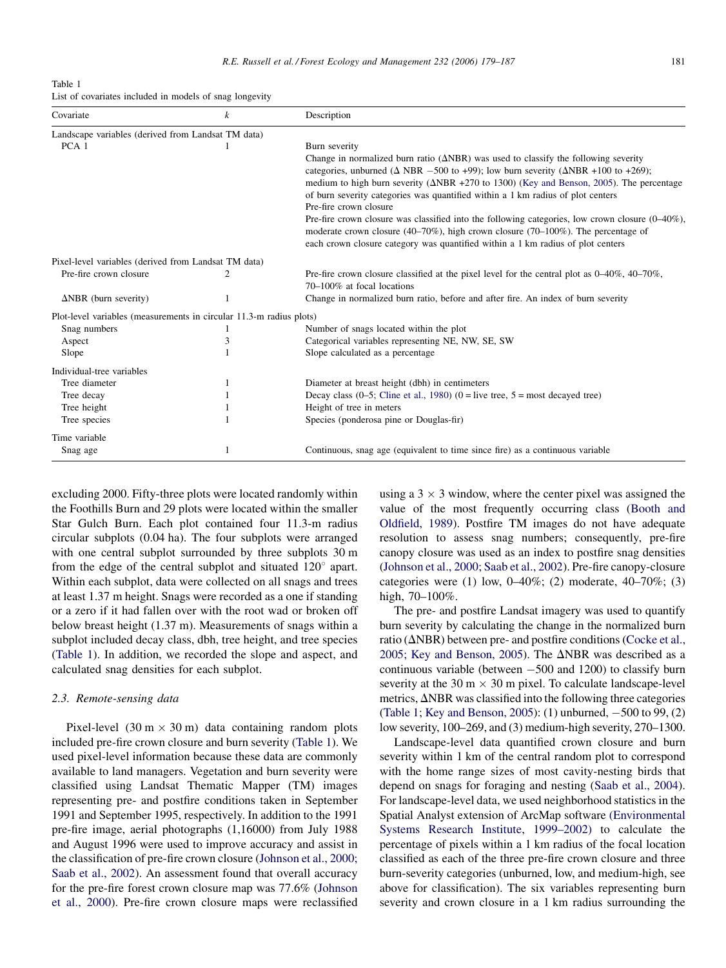<span id="page-2-0"></span>

| Table 1                                                 |  |  |
|---------------------------------------------------------|--|--|
| List of covariates included in models of snag longevity |  |  |

| Covariate                                                           | k | Description                                                                                                                                                                                                                                                                                                                                                                                                              |
|---------------------------------------------------------------------|---|--------------------------------------------------------------------------------------------------------------------------------------------------------------------------------------------------------------------------------------------------------------------------------------------------------------------------------------------------------------------------------------------------------------------------|
| Landscape variables (derived from Landsat TM data)                  |   |                                                                                                                                                                                                                                                                                                                                                                                                                          |
| PCA <sub>1</sub>                                                    |   | Burn severity                                                                                                                                                                                                                                                                                                                                                                                                            |
|                                                                     |   | Change in normalized burn ratio ( $\triangle NBR$ ) was used to classify the following severity<br>categories, unburned ( $\Delta$ NBR -500 to +99); low burn severity ( $\Delta$ NBR +100 to +269);<br>medium to high burn severity ( $\triangle$ NBR +270 to 1300) (Key and Benson, 2005). The percentage<br>of burn severity categories was quantified within a 1 km radius of plot centers<br>Pre-fire crown closure |
|                                                                     |   | Pre-fire crown closure was classified into the following categories, low crown closure $(0-40\%)$ ,<br>moderate crown closure $(40-70\%)$ , high crown closure $(70-100\%)$ . The percentage of<br>each crown closure category was quantified within a 1 km radius of plot centers                                                                                                                                       |
| Pixel-level variables (derived from Landsat TM data)                |   |                                                                                                                                                                                                                                                                                                                                                                                                                          |
| Pre-fire crown closure                                              |   | Pre-fire crown closure classified at the pixel level for the central plot as $0-40\%$ , $40-70\%$ ,<br>70–100% at focal locations                                                                                                                                                                                                                                                                                        |
| $\triangle NBR$ (burn severity)                                     |   | Change in normalized burn ratio, before and after fire. An index of burn severity                                                                                                                                                                                                                                                                                                                                        |
| Plot-level variables (measurements in circular 11.3-m radius plots) |   |                                                                                                                                                                                                                                                                                                                                                                                                                          |
| Snag numbers                                                        |   | Number of snags located within the plot                                                                                                                                                                                                                                                                                                                                                                                  |
| Aspect                                                              | 3 | Categorical variables representing NE, NW, SE, SW                                                                                                                                                                                                                                                                                                                                                                        |
| Slope                                                               |   | Slope calculated as a percentage                                                                                                                                                                                                                                                                                                                                                                                         |
| Individual-tree variables                                           |   |                                                                                                                                                                                                                                                                                                                                                                                                                          |
| Tree diameter                                                       |   | Diameter at breast height (dbh) in centimeters                                                                                                                                                                                                                                                                                                                                                                           |
| Tree decay                                                          |   | Decay class $(0-5;$ Cline et al., 1980) $(0 =$ live tree, $5 =$ most decayed tree)                                                                                                                                                                                                                                                                                                                                       |
| Tree height                                                         |   | Height of tree in meters                                                                                                                                                                                                                                                                                                                                                                                                 |
| Tree species                                                        |   | Species (ponderosa pine or Douglas-fir)                                                                                                                                                                                                                                                                                                                                                                                  |
| Time variable                                                       |   |                                                                                                                                                                                                                                                                                                                                                                                                                          |
| Snag age                                                            |   | Continuous, snag age (equivalent to time since fire) as a continuous variable                                                                                                                                                                                                                                                                                                                                            |

excluding 2000. Fifty-three plots were located randomly within the Foothills Burn and 29 plots were located within the smaller Star Gulch Burn. Each plot contained four 11.3-m radius circular subplots (0.04 ha). The four subplots were arranged with one central subplot surrounded by three subplots 30 m from the edge of the central subplot and situated  $120^\circ$  apart. Within each subplot, data were collected on all snags and trees at least 1.37 m height. Snags were recorded as a one if standing or a zero if it had fallen over with the root wad or broken off below breast height (1.37 m). Measurements of snags within a subplot included decay class, dbh, tree height, and tree species (Table 1). In addition, we recorded the slope and aspect, and calculated snag densities for each subplot.

#### 2.3. Remote-sensing data

Pixel-level  $(30 \text{ m} \times 30 \text{ m})$  data containing random plots included pre-fire crown closure and burn severity (Table 1). We used pixel-level information because these data are commonly available to land managers. Vegetation and burn severity were classified using Landsat Thematic Mapper (TM) images representing pre- and postfire conditions taken in September 1991 and September 1995, respectively. In addition to the 1991 pre-fire image, aerial photographs (1,16000) from July 1988 and August 1996 were used to improve accuracy and assist in the classification of pre-fire crown closure [\(Johnson et al., 2000;](#page-8-0) [Saab et al., 2002\)](#page-8-0). An assessment found that overall accuracy for the pre-fire forest crown closure map was 77.6% ([Johnson](#page-8-0) [et al., 2000](#page-8-0)). Pre-fire crown closure maps were reclassified

using a  $3 \times 3$  window, where the center pixel was assigned the value of the most frequently occurring class ([Booth and](#page-7-0) [Oldfield, 1989\)](#page-7-0). Postfire TM images do not have adequate resolution to assess snag numbers; consequently, pre-fire canopy closure was used as an index to postfire snag densities ([Johnson et al., 2000; Saab et al., 2002\)](#page-8-0). Pre-fire canopy-closure categories were (1) low,  $0-40\%$ ; (2) moderate,  $40-70\%$ ; (3) high, 70–100%.

The pre- and postfire Landsat imagery was used to quantify burn severity by calculating the change in the normalized burn ratio ( $\triangle$ NBR) between pre- and postfire conditions [\(Cocke et al.,](#page-7-0) [2005; Key and Benson, 2005](#page-7-0)). The  $\triangle$ NBR was described as a continuous variable (between  $-500$  and 1200) to classify burn severity at the 30 m  $\times$  30 m pixel. To calculate landscape-level metrics,  $\Delta$ NBR was classified into the following three categories (Table 1; [Key and Benson, 2005\)](#page-8-0): (1) unburned,  $-500$  to 99, (2) low severity, 100–269, and (3) medium-high severity, 270–1300.

Landscape-level data quantified crown closure and burn severity within 1 km of the central random plot to correspond with the home range sizes of most cavity-nesting birds that depend on snags for foraging and nesting ([Saab et al., 2004\)](#page-8-0). For landscape-level data, we used neighborhood statistics in the Spatial Analyst extension of ArcMap software [\(Environmental](#page-7-0) [Systems Research Institute, 1999–2002\)](#page-7-0) to calculate the percentage of pixels within a 1 km radius of the focal location classified as each of the three pre-fire crown closure and three burn-severity categories (unburned, low, and medium-high, see above for classification). The six variables representing burn severity and crown closure in a 1 km radius surrounding the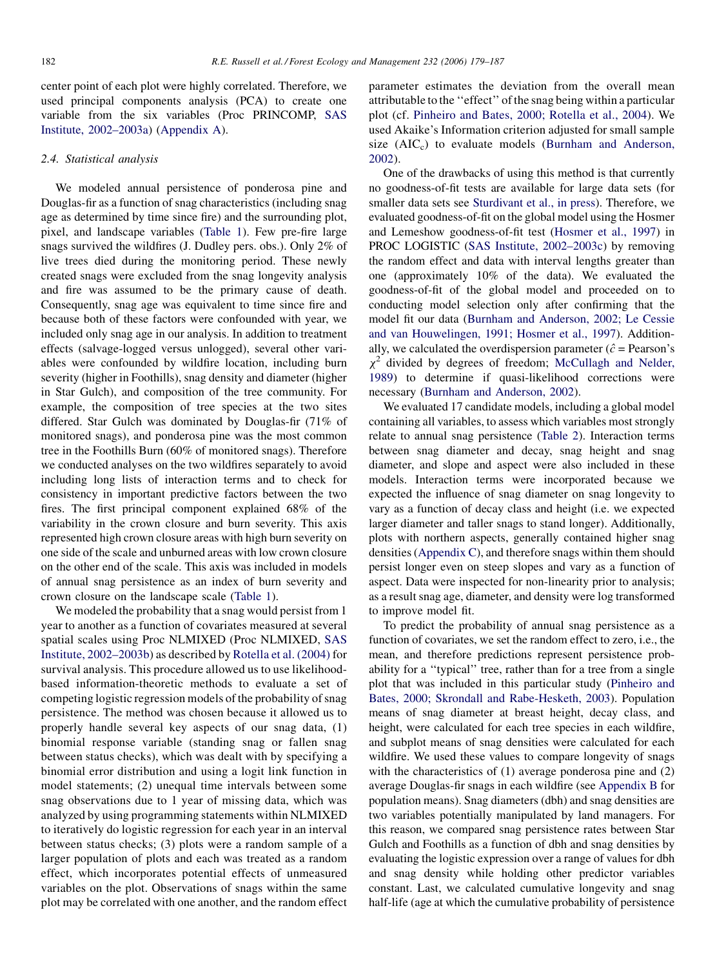center point of each plot were highly correlated. Therefore, we used principal components analysis (PCA) to create one variable from the six variables (Proc PRINCOMP, [SAS](#page-8-0) [Institute, 2002–2003a\)](#page-8-0) (Appendix A).

#### 2.4. Statistical analysis

We modeled annual persistence of ponderosa pine and Douglas-fir as a function of snag characteristics (including snag age as determined by time since fire) and the surrounding plot, pixel, and landscape variables [\(Table 1\)](#page-2-0). Few pre-fire large snags survived the wildfires (J. Dudley pers. obs.). Only 2% of live trees died during the monitoring period. These newly created snags were excluded from the snag longevity analysis and fire was assumed to be the primary cause of death. Consequently, snag age was equivalent to time since fire and because both of these factors were confounded with year, we included only snag age in our analysis. In addition to treatment effects (salvage-logged versus unlogged), several other variables were confounded by wildfire location, including burn severity (higher in Foothills), snag density and diameter (higher in Star Gulch), and composition of the tree community. For example, the composition of tree species at the two sites differed. Star Gulch was dominated by Douglas-fir (71% of monitored snags), and ponderosa pine was the most common tree in the Foothills Burn (60% of monitored snags). Therefore we conducted analyses on the two wildfires separately to avoid including long lists of interaction terms and to check for consistency in important predictive factors between the two fires. The first principal component explained 68% of the variability in the crown closure and burn severity. This axis represented high crown closure areas with high burn severity on one side of the scale and unburned areas with low crown closure on the other end of the scale. This axis was included in models of annual snag persistence as an index of burn severity and crown closure on the landscape scale [\(Table 1\)](#page-2-0).

We modeled the probability that a snag would persist from 1 year to another as a function of covariates measured at several spatial scales using Proc NLMIXED (Proc NLMIXED, [SAS](#page-8-0) [Institute, 2002–2003b\)](#page-8-0) as described by [Rotella et al. \(2004\)](#page-8-0) for survival analysis. This procedure allowed us to use likelihoodbased information-theoretic methods to evaluate a set of competing logistic regression models of the probability of snag persistence. The method was chosen because it allowed us to properly handle several key aspects of our snag data, (1) binomial response variable (standing snag or fallen snag between status checks), which was dealt with by specifying a binomial error distribution and using a logit link function in model statements; (2) unequal time intervals between some snag observations due to 1 year of missing data, which was analyzed by using programming statements within NLMIXED to iteratively do logistic regression for each year in an interval between status checks; (3) plots were a random sample of a larger population of plots and each was treated as a random effect, which incorporates potential effects of unmeasured variables on the plot. Observations of snags within the same plot may be correlated with one another, and the random effect parameter estimates the deviation from the overall mean attributable to the ''effect'' of the snag being within a particular plot (cf. [Pinheiro and Bates, 2000; Rotella et al., 2004](#page-8-0)). We used Akaike's Information criterion adjusted for small sample size  $(AIC<sub>c</sub>)$  to evaluate models [\(Burnham and Anderson,](#page-7-0) [2002](#page-7-0)).

One of the drawbacks of using this method is that currently no goodness-of-fit tests are available for large data sets (for smaller data sets see [Sturdivant et al., in press\)](#page-8-0). Therefore, we evaluated goodness-of-fit on the global model using the Hosmer and Lemeshow goodness-of-fit test ([Hosmer et al., 1997](#page-8-0)) in PROC LOGISTIC [\(SAS Institute, 2002–2003c\)](#page-8-0) by removing the random effect and data with interval lengths greater than one (approximately 10% of the data). We evaluated the goodness-of-fit of the global model and proceeded on to conducting model selection only after confirming that the model fit our data ([Burnham and Anderson, 2002; Le Cessie](#page-7-0) [and van Houwelingen, 1991; Hosmer et al., 1997\)](#page-7-0). Additionally, we calculated the overdispersion parameter ( $\hat{c}$  = Pearson's  $\chi^2$  divided by degrees of freedom; [McCullagh and Nelder,](#page-8-0) [1989\)](#page-8-0) to determine if quasi-likelihood corrections were necessary [\(Burnham and Anderson, 2002](#page-7-0)).

We evaluated 17 candidate models, including a global model containing all variables, to assess which variables most strongly relate to annual snag persistence [\(Table 2\)](#page-4-0). Interaction terms between snag diameter and decay, snag height and snag diameter, and slope and aspect were also included in these models. Interaction terms were incorporated because we expected the influence of snag diameter on snag longevity to vary as a function of decay class and height (i.e. we expected larger diameter and taller snags to stand longer). Additionally, plots with northern aspects, generally contained higher snag densities (Appendix C), and therefore snags within them should persist longer even on steep slopes and vary as a function of aspect. Data were inspected for non-linearity prior to analysis; as a result snag age, diameter, and density were log transformed to improve model fit.

To predict the probability of annual snag persistence as a function of covariates, we set the random effect to zero, i.e., the mean, and therefore predictions represent persistence probability for a ''typical'' tree, rather than for a tree from a single plot that was included in this particular study [\(Pinheiro and](#page-8-0) [Bates, 2000; Skrondall and Rabe-Hesketh, 2003\)](#page-8-0). Population means of snag diameter at breast height, decay class, and height, were calculated for each tree species in each wildfire, and subplot means of snag densities were calculated for each wildfire. We used these values to compare longevity of snags with the characteristics of (1) average ponderosa pine and (2) average Douglas-fir snags in each wildfire (see Appendix B for population means). Snag diameters (dbh) and snag densities are two variables potentially manipulated by land managers. For this reason, we compared snag persistence rates between Star Gulch and Foothills as a function of dbh and snag densities by evaluating the logistic expression over a range of values for dbh and snag density while holding other predictor variables constant. Last, we calculated cumulative longevity and snag half-life (age at which the cumulative probability of persistence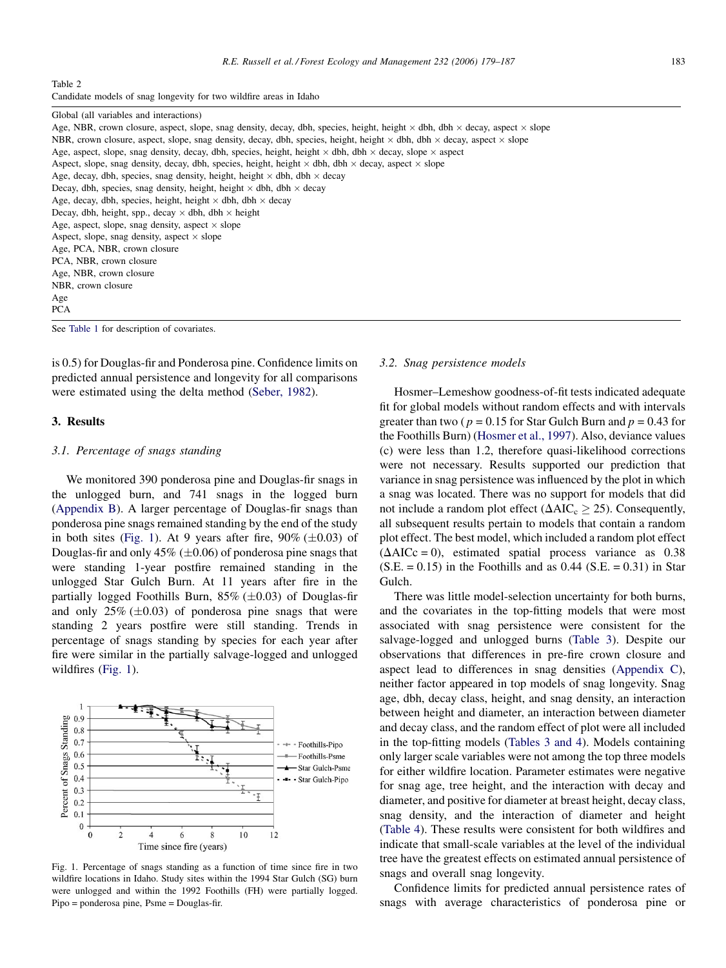<span id="page-4-0"></span>Table 2 Candidate models of snag longevity for two wildfire areas in Idaho

| Global (all variables and interactions)                                                                                                           |
|---------------------------------------------------------------------------------------------------------------------------------------------------|
| Age, NBR, crown closure, aspect, slope, snag density, decay, dbh, species, height, height $\times$ dbh, dbh $\times$ decay, aspect $\times$ slope |
| NBR, crown closure, aspect, slope, snag density, decay, dbh, species, height, height $\times$ dbh, dbh $\times$ decay, aspect $\times$ slope      |
| Age, aspect, slope, snag density, decay, dbh, species, height, height $\times$ dbh, dbh $\times$ decay, slope $\times$ aspect                     |
| Aspect, slope, snag density, decay, dbh, species, height, height $\times$ dbh, dbh $\times$ decay, aspect $\times$ slope                          |
| Age, decay, dbh, species, snag density, height, height $\times$ dbh, dbh $\times$ decay                                                           |
| Decay, dbh, species, snag density, height, height $\times$ dbh, dbh $\times$ decay                                                                |
| Age, decay, dbh, species, height, height $\times$ dbh, dbh $\times$ decay                                                                         |
| Decay, dbh, height, spp., decay $\times$ dbh, dbh $\times$ height                                                                                 |
| Age, aspect, slope, snag density, aspect $\times$ slope                                                                                           |
| Aspect, slope, snag density, aspect $\times$ slope                                                                                                |
| Age, PCA, NBR, crown closure                                                                                                                      |
| PCA, NBR, crown closure                                                                                                                           |
| Age, NBR, crown closure                                                                                                                           |
| NBR, crown closure                                                                                                                                |
| Age                                                                                                                                               |
| <b>PCA</b>                                                                                                                                        |
|                                                                                                                                                   |

See [Table 1](#page-2-0) for description of covariates.

is 0.5) for Douglas-fir and Ponderosa pine. Confidence limits on predicted annual persistence and longevity for all comparisons were estimated using the delta method [\(Seber, 1982](#page-8-0)).

### 3. Results

#### 3.1. Percentage of snags standing

We monitored 390 ponderosa pine and Douglas-fir snags in the unlogged burn, and 741 snags in the logged burn (Appendix B). A larger percentage of Douglas-fir snags than ponderosa pine snags remained standing by the end of the study in both sites (Fig. 1). At 9 years after fire,  $90\%$  ( $\pm 0.03$ ) of Douglas-fir and only 45% ( $\pm$ 0.06) of ponderosa pine snags that were standing 1-year postfire remained standing in the unlogged Star Gulch Burn. At 11 years after fire in the partially logged Foothills Burn,  $85\%$  ( $\pm 0.03$ ) of Douglas-fir and only  $25\% (\pm 0.03)$  of ponderosa pine snags that were standing 2 years postfire were still standing. Trends in percentage of snags standing by species for each year after fire were similar in the partially salvage-logged and unlogged wildfires (Fig. 1).



Fig. 1. Percentage of snags standing as a function of time since fire in two wildfire locations in Idaho. Study sites within the 1994 Star Gulch (SG) burn were unlogged and within the 1992 Foothills (FH) were partially logged. Pipo = ponderosa pine, Psme = Douglas-fir.

#### 3.2. Snag persistence models

Hosmer–Lemeshow goodness-of-fit tests indicated adequate fit for global models without random effects and with intervals greater than two ( $p = 0.15$  for Star Gulch Burn and  $p = 0.43$  for the Foothills Burn) ([Hosmer et al., 1997\)](#page-8-0). Also, deviance values (c) were less than 1.2, therefore quasi-likelihood corrections were not necessary. Results supported our prediction that variance in snag persistence was influenced by the plot in which a snag was located. There was no support for models that did not include a random plot effect ( $\Delta AIC_c \geq 25$ ). Consequently, all subsequent results pertain to models that contain a random plot effect. The best model, which included a random plot effect  $(\Delta AICc = 0)$ , estimated spatial process variance as 0.38  $(S.E. = 0.15)$  in the Foothills and as 0.44  $(S.E. = 0.31)$  in Star Gulch.

There was little model-selection uncertainty for both burns, and the covariates in the top-fitting models that were most associated with snag persistence were consistent for the salvage-logged and unlogged burns ([Table 3](#page-5-0)). Despite our observations that differences in pre-fire crown closure and aspect lead to differences in snag densities (Appendix C), neither factor appeared in top models of snag longevity. Snag age, dbh, decay class, height, and snag density, an interaction between height and diameter, an interaction between diameter and decay class, and the random effect of plot were all included in the top-fitting models [\(Tables 3 and 4\)](#page-5-0). Models containing only larger scale variables were not among the top three models for either wildfire location. Parameter estimates were negative for snag age, tree height, and the interaction with decay and diameter, and positive for diameter at breast height, decay class, snag density, and the interaction of diameter and height ([Table 4\)](#page-5-0). These results were consistent for both wildfires and indicate that small-scale variables at the level of the individual tree have the greatest effects on estimated annual persistence of snags and overall snag longevity.

Confidence limits for predicted annual persistence rates of snags with average characteristics of ponderosa pine or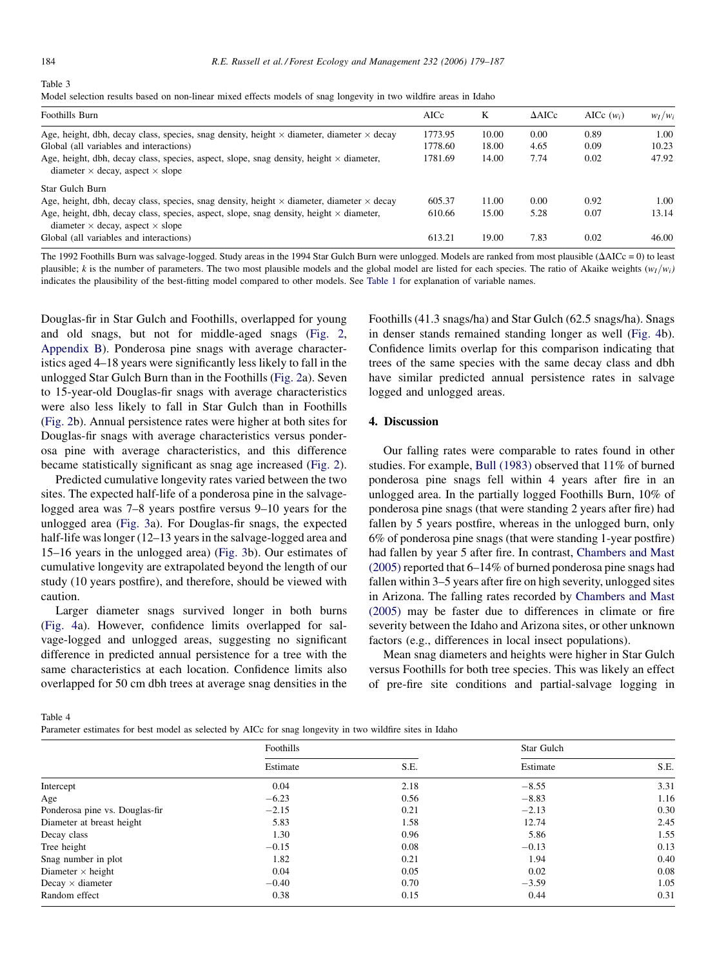<span id="page-5-0"></span>Table 3

| Model selection results based on non-linear mixed effects models of snag longevity in two wildfire areas in Idaho |  |
|-------------------------------------------------------------------------------------------------------------------|--|
|-------------------------------------------------------------------------------------------------------------------|--|

| Foothills Burn                                                                                                                                   | AICc    | K     | $\triangle$ AICc | AICc $(w_i)$ | $w_I/w_i$ |
|--------------------------------------------------------------------------------------------------------------------------------------------------|---------|-------|------------------|--------------|-----------|
| Age, height, dbh, decay class, species, snag density, height $\times$ diameter, diameter $\times$ decay                                          | 1773.95 | 10.00 | 0.00             | 0.89         | 1.00      |
| Global (all variables and interactions)                                                                                                          | 1778.60 | 18.00 | 4.65             | 0.09         | 10.23     |
| Age, height, dbh, decay class, species, aspect, slope, snag density, height $\times$ diameter,<br>diameter $\times$ decay, aspect $\times$ slope | 1781.69 | 14.00 | 7.74             | 0.02         | 47.92     |
| Star Gulch Burn                                                                                                                                  |         |       |                  |              |           |
| Age, height, dbh, decay class, species, snag density, height $\times$ diameter, diameter $\times$ decay                                          | 605.37  | 11.00 | 0.00             | 0.92         | 1.00      |
| Age, height, dbh, decay class, species, aspect, slope, snag density, height $\times$ diameter,<br>diameter $\times$ decay, aspect $\times$ slope | 610.66  | 15.00 | 5.28             | 0.07         | 13.14     |
| Global (all variables and interactions)                                                                                                          | 613.21  | 19.00 | 7.83             | 0.02         | 46.00     |

The 1992 Foothills Burn was salvage-logged. Study areas in the 1994 Star Gulch Burn were unlogged. Models are ranked from most plausible ( $\Delta AICc = 0$ ) to least plausible; k is the number of parameters. The two most plausible models and the global model are listed for each species. The ratio of Akaike weights  $(w_I/w_i)$ indicates the plausibility of the best-fitting model compared to other models. See [Table 1](#page-2-0) for explanation of variable names.

Douglas-fir in Star Gulch and Foothills, overlapped for young and old snags, but not for middle-aged snags [\(Fig. 2](#page-6-0), Appendix B). Ponderosa pine snags with average characteristics aged 4–18 years were significantly less likely to fall in the unlogged Star Gulch Burn than in the Foothills [\(Fig. 2](#page-6-0)a). Seven to 15-year-old Douglas-fir snags with average characteristics were also less likely to fall in Star Gulch than in Foothills ([Fig. 2](#page-6-0)b). Annual persistence rates were higher at both sites for Douglas-fir snags with average characteristics versus ponderosa pine with average characteristics, and this difference became statistically significant as snag age increased [\(Fig. 2\)](#page-6-0).

Predicted cumulative longevity rates varied between the two sites. The expected half-life of a ponderosa pine in the salvagelogged area was 7–8 years postfire versus 9–10 years for the unlogged area ([Fig. 3](#page-6-0)a). For Douglas-fir snags, the expected half-life was longer (12–13 years in the salvage-logged area and 15–16 years in the unlogged area) [\(Fig. 3](#page-6-0)b). Our estimates of cumulative longevity are extrapolated beyond the length of our study (10 years postfire), and therefore, should be viewed with caution.

Larger diameter snags survived longer in both burns ([Fig. 4a](#page-6-0)). However, confidence limits overlapped for salvage-logged and unlogged areas, suggesting no significant difference in predicted annual persistence for a tree with the same characteristics at each location. Confidence limits also overlapped for 50 cm dbh trees at average snag densities in the Foothills (41.3 snags/ha) and Star Gulch (62.5 snags/ha). Snags in denser stands remained standing longer as well [\(Fig. 4b](#page-6-0)). Confidence limits overlap for this comparison indicating that trees of the same species with the same decay class and dbh have similar predicted annual persistence rates in salvage logged and unlogged areas.

### 4. Discussion

Our falling rates were comparable to rates found in other studies. For example, [Bull \(1983\)](#page-7-0) observed that 11% of burned ponderosa pine snags fell within 4 years after fire in an unlogged area. In the partially logged Foothills Burn, 10% of ponderosa pine snags (that were standing 2 years after fire) had fallen by 5 years postfire, whereas in the unlogged burn, only 6% of ponderosa pine snags (that were standing 1-year postfire) had fallen by year 5 after fire. In contrast, [Chambers and Mast](#page-7-0) [\(2005\)](#page-7-0) reported that 6–14% of burned ponderosa pine snags had fallen within 3–5 years after fire on high severity, unlogged sites in Arizona. The falling rates recorded by [Chambers and Mast](#page-7-0) [\(2005\)](#page-7-0) may be faster due to differences in climate or fire severity between the Idaho and Arizona sites, or other unknown factors (e.g., differences in local insect populations).

Mean snag diameters and heights were higher in Star Gulch versus Foothills for both tree species. This was likely an effect of pre-fire site conditions and partial-salvage logging in

Table 4

Parameter estimates for best model as selected by AICc for snag longevity in two wildfire sites in Idaho

|                                | Foothills |      | Star Gulch |      |
|--------------------------------|-----------|------|------------|------|
|                                | Estimate  | S.E. | Estimate   | S.E. |
| Intercept                      | 0.04      | 2.18 | $-8.55$    | 3.31 |
| Age                            | $-6.23$   | 0.56 | $-8.83$    | 1.16 |
| Ponderosa pine vs. Douglas-fir | $-2.15$   | 0.21 | $-2.13$    | 0.30 |
| Diameter at breast height      | 5.83      | 1.58 | 12.74      | 2.45 |
| Decay class                    | 1.30      | 0.96 | 5.86       | 1.55 |
| Tree height                    | $-0.15$   | 0.08 | $-0.13$    | 0.13 |
| Snag number in plot            | 1.82      | 0.21 | 1.94       | 0.40 |
| Diameter $\times$ height       | 0.04      | 0.05 | 0.02       | 0.08 |
| Decay $\times$ diameter        | $-0.40$   | 0.70 | $-3.59$    | 1.05 |
| Random effect                  | 0.38      | 0.15 | 0.44       | 0.31 |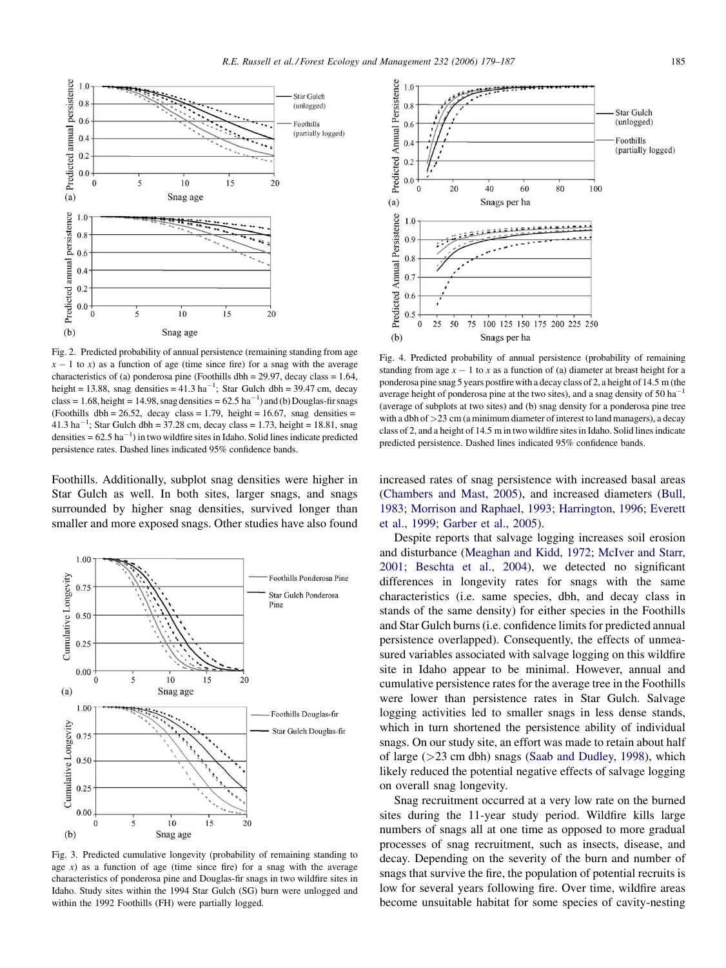<span id="page-6-0"></span>

Fig. 2. Predicted probability of annual persistence (remaining standing from age  $x - 1$  to x) as a function of age (time since fire) for a snag with the average characteristics of (a) ponderosa pine (Foothills dbh =  $29.97$ , decay class = 1.64, height = 13.88, snag densities =  $41.3$  ha<sup>-1</sup>; Star Gulch dbh = 39.47 cm, decay class = 1.68, height = 14.98, snag densities =  $62.5 \text{ ha}^{-1}$ ) and (b) Douglas-fir snags (Foothills dbh = 26.52, decay class = 1.79, height = 16.67, snag densities =  $41.3 \text{ ha}^{-1}$ ; Star Gulch dbh = 37.28 cm, decay class = 1.73, height = 18.81, snag densities =  $62.5$  ha<sup>-1</sup>) in two wildfire sites in Idaho. Solid lines indicate predicted persistence rates. Dashed lines indicated 95% confidence bands.

Foothills. Additionally, subplot snag densities were higher in Star Gulch as well. In both sites, larger snags, and snags surrounded by higher snag densities, survived longer than smaller and more exposed snags. Other studies have also found



Fig. 3. Predicted cumulative longevity (probability of remaining standing to age  $x$ ) as a function of age (time since fire) for a snag with the average characteristics of ponderosa pine and Douglas-fir snags in two wildfire sites in Idaho. Study sites within the 1994 Star Gulch (SG) burn were unlogged and within the 1992 Foothills (FH) were partially logged.



Fig. 4. Predicted probability of annual persistence (probability of remaining standing from age  $x - 1$  to x as a function of (a) diameter at breast height for a ponderosa pine snag 5 years postfire with a decay class of 2, a height of 14.5 m (the average height of ponderosa pine at the two sites), and a snag density of  $50$  ha<sup>-</sup> (average of subplots at two sites) and (b) snag density for a ponderosa pine tree with a dbh of >23 cm (a minimum diameter of interest to land managers), a decay class of 2, and a height of 14.5 m in two wildfire sites in Idaho. Solid lines indicate predicted persistence. Dashed lines indicated 95% confidence bands.

increased rates of snag persistence with increased basal areas ([Chambers and Mast, 2005](#page-7-0)), and increased diameters ([Bull,](#page-7-0) [1983; Morrison and Raphael, 1993; Harrington, 1996; Everett](#page-7-0) [et al., 1999; Garber et al., 2005](#page-7-0)).

Despite reports that salvage logging increases soil erosion and disturbance ([Meaghan and Kidd, 1972; McIver and Starr,](#page-8-0) [2001; Beschta et al., 2004\)](#page-8-0), we detected no significant differences in longevity rates for snags with the same characteristics (i.e. same species, dbh, and decay class in stands of the same density) for either species in the Foothills and Star Gulch burns (i.e. confidence limits for predicted annual persistence overlapped). Consequently, the effects of unmeasured variables associated with salvage logging on this wildfire site in Idaho appear to be minimal. However, annual and cumulative persistence rates for the average tree in the Foothills were lower than persistence rates in Star Gulch. Salvage logging activities led to smaller snags in less dense stands, which in turn shortened the persistence ability of individual snags. On our study site, an effort was made to retain about half of large ( $>$ 23 cm dbh) snags ([Saab and Dudley, 1998](#page-8-0)), which likely reduced the potential negative effects of salvage logging on overall snag longevity.

Snag recruitment occurred at a very low rate on the burned sites during the 11-year study period. Wildfire kills large numbers of snags all at one time as opposed to more gradual processes of snag recruitment, such as insects, disease, and decay. Depending on the severity of the burn and number of snags that survive the fire, the population of potential recruits is low for several years following fire. Over time, wildfire areas become unsuitable habitat for some species of cavity-nesting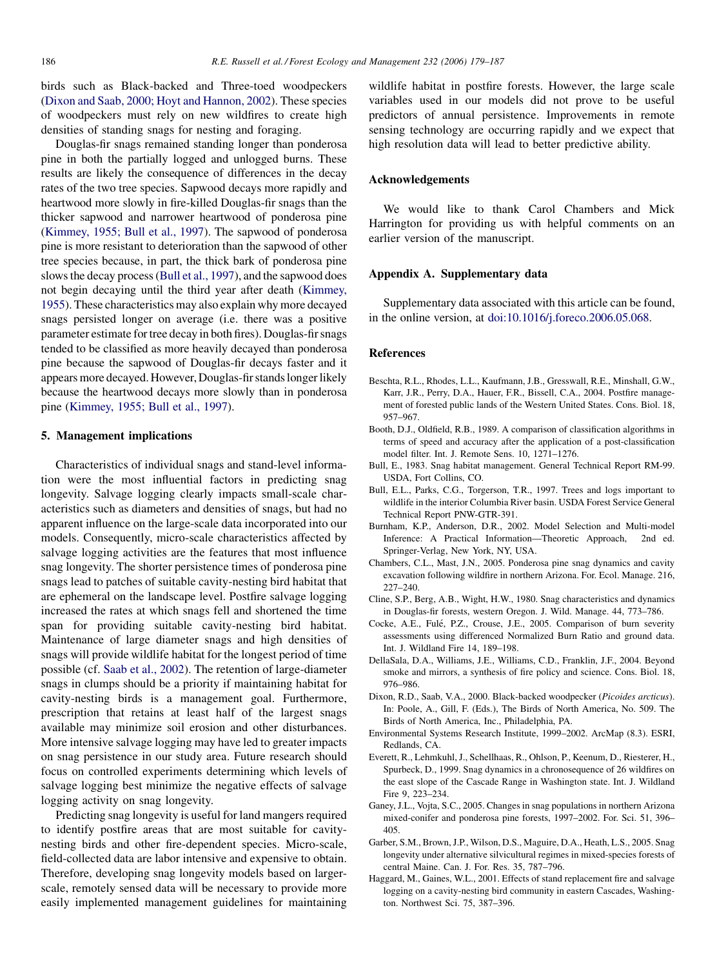<span id="page-7-0"></span>birds such as Black-backed and Three-toed woodpeckers (Dixon and Saab, 2000; Hoyt and Hannon, 2002). These species of woodpeckers must rely on new wildfires to create high densities of standing snags for nesting and foraging.

Douglas-fir snags remained standing longer than ponderosa pine in both the partially logged and unlogged burns. These results are likely the consequence of differences in the decay rates of the two tree species. Sapwood decays more rapidly and heartwood more slowly in fire-killed Douglas-fir snags than the thicker sapwood and narrower heartwood of ponderosa pine ([Kimmey, 1955; Bull et al., 1997](#page-8-0)). The sapwood of ponderosa pine is more resistant to deterioration than the sapwood of other tree species because, in part, the thick bark of ponderosa pine slows the decay process (Bull et al., 1997), and the sapwood does not begin decaying until the third year after death [\(Kimmey,](#page-8-0) [1955](#page-8-0)). These characteristics may also explain why more decayed snags persisted longer on average (i.e. there was a positive parameter estimate for tree decay in both fires). Douglas-fir snags tended to be classified as more heavily decayed than ponderosa pine because the sapwood of Douglas-fir decays faster and it appears more decayed. However, Douglas-fir stands longer likely because the heartwood decays more slowly than in ponderosa pine [\(Kimmey, 1955; Bull et al., 1997\)](#page-8-0).

## 5. Management implications

Characteristics of individual snags and stand-level information were the most influential factors in predicting snag longevity. Salvage logging clearly impacts small-scale characteristics such as diameters and densities of snags, but had no apparent influence on the large-scale data incorporated into our models. Consequently, micro-scale characteristics affected by salvage logging activities are the features that most influence snag longevity. The shorter persistence times of ponderosa pine snags lead to patches of suitable cavity-nesting bird habitat that are ephemeral on the landscape level. Postfire salvage logging increased the rates at which snags fell and shortened the time span for providing suitable cavity-nesting bird habitat. Maintenance of large diameter snags and high densities of snags will provide wildlife habitat for the longest period of time possible (cf. [Saab et al., 2002](#page-8-0)). The retention of large-diameter snags in clumps should be a priority if maintaining habitat for cavity-nesting birds is a management goal. Furthermore, prescription that retains at least half of the largest snags available may minimize soil erosion and other disturbances. More intensive salvage logging may have led to greater impacts on snag persistence in our study area. Future research should focus on controlled experiments determining which levels of salvage logging best minimize the negative effects of salvage logging activity on snag longevity.

Predicting snag longevity is useful for land mangers required to identify postfire areas that are most suitable for cavitynesting birds and other fire-dependent species. Micro-scale, field-collected data are labor intensive and expensive to obtain. Therefore, developing snag longevity models based on largerscale, remotely sensed data will be necessary to provide more easily implemented management guidelines for maintaining wildlife habitat in postfire forests. However, the large scale variables used in our models did not prove to be useful predictors of annual persistence. Improvements in remote sensing technology are occurring rapidly and we expect that high resolution data will lead to better predictive ability.

## Acknowledgements

We would like to thank Carol Chambers and Mick Harrington for providing us with helpful comments on an earlier version of the manuscript.

## Appendix A. Supplementary data

Supplementary data associated with this article can be found, in the online version, at [doi:10.1016/j.foreco.2006.05.068.](http://dx.doi.org/10.1016/j.foreco.2006.05.068)

#### References

- Beschta, R.L., Rhodes, L.L., Kaufmann, J.B., Gresswall, R.E., Minshall, G.W., Karr, J.R., Perry, D.A., Hauer, F.R., Bissell, C.A., 2004. Postfire management of forested public lands of the Western United States. Cons. Biol. 18, 957–967.
- Booth, D.J., Oldfield, R.B., 1989. A comparison of classification algorithms in terms of speed and accuracy after the application of a post-classification model filter. Int. J. Remote Sens. 10, 1271–1276.
- Bull, E., 1983. Snag habitat management. General Technical Report RM-99. USDA, Fort Collins, CO.
- Bull, E.L., Parks, C.G., Torgerson, T.R., 1997. Trees and logs important to wildlife in the interior Columbia River basin. USDA Forest Service General Technical Report PNW-GTR-391.
- Burnham, K.P., Anderson, D.R., 2002. Model Selection and Multi-model Inference: A Practical Information—Theoretic Approach, 2nd ed. Springer-Verlag, New York, NY, USA.
- Chambers, C.L., Mast, J.N., 2005. Ponderosa pine snag dynamics and cavity excavation following wildfire in northern Arizona. For. Ecol. Manage. 216, 227–240.
- Cline, S.P., Berg, A.B., Wight, H.W., 1980. Snag characteristics and dynamics in Douglas-fir forests, western Oregon. J. Wild. Manage. 44, 773–786.
- Cocke, A.E., Fulé, P.Z., Crouse, J.E., 2005. Comparison of burn severity assessments using differenced Normalized Burn Ratio and ground data. Int. J. Wildland Fire 14, 189–198.
- DellaSala, D.A., Williams, J.E., Williams, C.D., Franklin, J.F., 2004. Beyond smoke and mirrors, a synthesis of fire policy and science. Cons. Biol. 18, 976–986.
- Dixon, R.D., Saab, V.A., 2000. Black-backed woodpecker (Picoides arcticus). In: Poole, A., Gill, F. (Eds.), The Birds of North America, No. 509. The Birds of North America, Inc., Philadelphia, PA.
- Environmental Systems Research Institute, 1999–2002. ArcMap (8.3). ESRI, Redlands, CA.
- Everett, R., Lehmkuhl, J., Schellhaas, R., Ohlson, P., Keenum, D., Riesterer, H., Spurbeck, D., 1999. Snag dynamics in a chronosequence of 26 wildfires on the east slope of the Cascade Range in Washington state. Int. J. Wildland Fire 9, 223–234.
- Ganey, J.L., Vojta, S.C., 2005. Changes in snag populations in northern Arizona mixed-conifer and ponderosa pine forests, 1997–2002. For. Sci. 51, 396– 405.
- Garber, S.M., Brown, J.P., Wilson, D.S., Maguire, D.A., Heath, L.S., 2005. Snag longevity under alternative silvicultural regimes in mixed-species forests of central Maine. Can. J. For. Res. 35, 787–796.
- Haggard, M., Gaines, W.L., 2001. Effects of stand replacement fire and salvage logging on a cavity-nesting bird community in eastern Cascades, Washington. Northwest Sci. 75, 387–396.